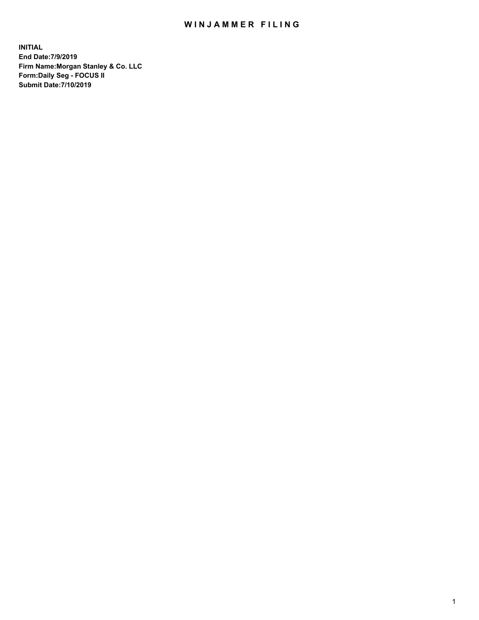## WIN JAMMER FILING

**INITIAL End Date:7/9/2019 Firm Name:Morgan Stanley & Co. LLC Form:Daily Seg - FOCUS II Submit Date:7/10/2019**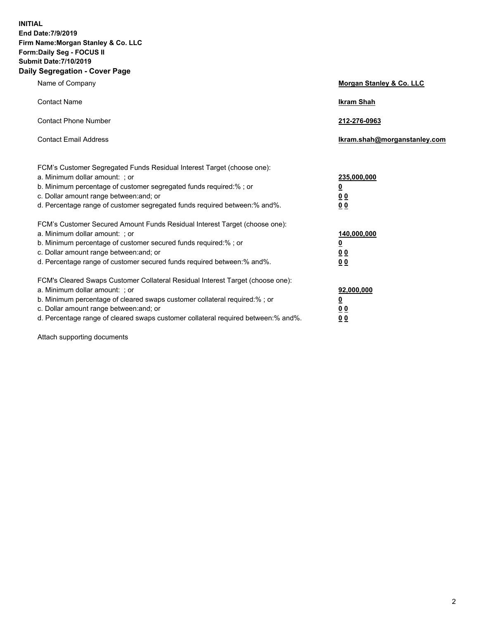**INITIAL End Date:7/9/2019 Firm Name:Morgan Stanley & Co. LLC Form:Daily Seg - FOCUS II Submit Date:7/10/2019 Daily Segregation - Cover Page**

| Name of Company                                                                                                                                                                                                                                                                                                                | Morgan Stanley & Co. LLC                               |
|--------------------------------------------------------------------------------------------------------------------------------------------------------------------------------------------------------------------------------------------------------------------------------------------------------------------------------|--------------------------------------------------------|
| <b>Contact Name</b>                                                                                                                                                                                                                                                                                                            | <b>Ikram Shah</b>                                      |
| <b>Contact Phone Number</b>                                                                                                                                                                                                                                                                                                    | 212-276-0963                                           |
| <b>Contact Email Address</b>                                                                                                                                                                                                                                                                                                   | Ikram.shah@morganstanley.com                           |
| FCM's Customer Segregated Funds Residual Interest Target (choose one):<br>a. Minimum dollar amount: ; or<br>b. Minimum percentage of customer segregated funds required:% ; or<br>c. Dollar amount range between: and; or<br>d. Percentage range of customer segregated funds required between:% and%.                         | 235,000,000<br><u>0</u><br>0 <sup>0</sup><br><u>00</u> |
| FCM's Customer Secured Amount Funds Residual Interest Target (choose one):<br>a. Minimum dollar amount: ; or<br>b. Minimum percentage of customer secured funds required:%; or<br>c. Dollar amount range between: and; or<br>d. Percentage range of customer secured funds required between:% and%.                            | 140,000,000<br><u>0</u><br>0 Q<br>0 <sup>0</sup>       |
| FCM's Cleared Swaps Customer Collateral Residual Interest Target (choose one):<br>a. Minimum dollar amount: ; or<br>b. Minimum percentage of cleared swaps customer collateral required:% ; or<br>c. Dollar amount range between: and; or<br>d. Percentage range of cleared swaps customer collateral required between:% and%. | 92,000,000<br><u>0</u><br><u>00</u><br>00              |

Attach supporting documents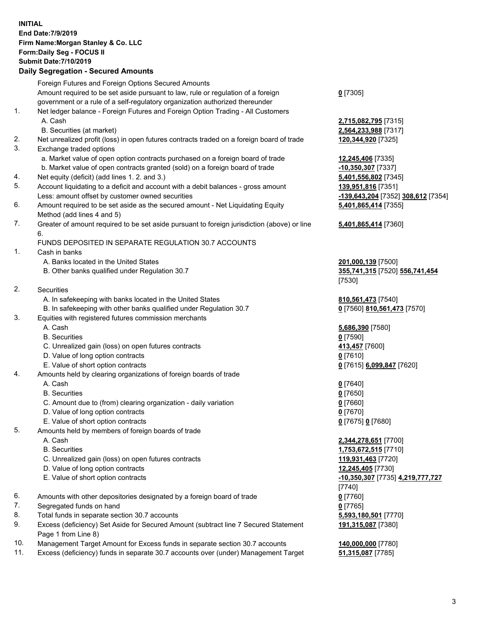## **INITIAL End Date:7/9/2019 Firm Name:Morgan Stanley & Co. LLC Form:Daily Seg - FOCUS II Submit Date:7/10/2019 Daily Segregation - Secured Amounts**

Foreign Futures and Foreign Options Secured Amounts Amount required to be set aside pursuant to law, rule or regulation of a foreign government or a rule of a self-regulatory organization authorized thereunder 1. Net ledger balance - Foreign Futures and Foreign Option Trading - All Customers A. Cash **2,715,082,795** [7315] B. Securities (at market) **2,564,233,988** [7317] 2. Net unrealized profit (loss) in open futures contracts traded on a foreign board of trade **120,344,920** [7325] 3. Exchange traded options a. Market value of open option contracts purchased on a foreign board of trade **12,245,406** [7335] b. Market value of open contracts granted (sold) on a foreign board of trade **-10,350,307** [7337] 4. Net equity (deficit) (add lines 1. 2. and 3.) **5,401,556,802** [7345] 5. Account liquidating to a deficit and account with a debit balances - gross amount **139,951,816** [7351] Less: amount offset by customer owned securities **-139,643,204** [7352] **308,612** [7354] 6. Amount required to be set aside as the secured amount - Net Liquidating Equity Method (add lines 4 and 5) 7. Greater of amount required to be set aside pursuant to foreign jurisdiction (above) or line 6. FUNDS DEPOSITED IN SEPARATE REGULATION 30.7 ACCOUNTS 1. Cash in banks A. Banks located in the United States **201,000,139** [7500] B. Other banks qualified under Regulation 30.7 **355,741,315** [7520] **556,741,454** 2. Securities A. In safekeeping with banks located in the United States **810,561,473** [7540] B. In safekeeping with other banks qualified under Regulation 30.7 **0** [7560] **810,561,473** [7570] 3. Equities with registered futures commission merchants A. Cash **5,686,390** [7580] B. Securities **0** [7590] C. Unrealized gain (loss) on open futures contracts **413,457** [7600] D. Value of long option contracts **0** [7610] E. Value of short option contracts **0** [7615] **6,099,847** [7620] 4. Amounts held by clearing organizations of foreign boards of trade A. Cash **0** [7640] B. Securities **0** [7650] C. Amount due to (from) clearing organization - daily variation **0** [7660] D. Value of long option contracts **0** [7670] E. Value of short option contracts **0** [7675] **0** [7680] 5. Amounts held by members of foreign boards of trade A. Cash **2,344,278,651** [7700] B. Securities **1,753,672,515** [7710] C. Unrealized gain (loss) on open futures contracts **119,931,463** [7720] D. Value of long option contracts **12,245,405** [7730] E. Value of short option contracts **-10,350,307** [7735] **4,219,777,727** 6. Amounts with other depositories designated by a foreign board of trade **0** [7760] 7. Segregated funds on hand **0** [7765] 8. Total funds in separate section 30.7 accounts **5,593,180,501** [7770] 9. Excess (deficiency) Set Aside for Secured Amount (subtract line 7 Secured Statement

- Page 1 from Line 8) 10. Management Target Amount for Excess funds in separate section 30.7 accounts **140,000,000** [7780]
- 
- 11. Excess (deficiency) funds in separate 30.7 accounts over (under) Management Target **51,315,087** [7785]

**0** [7305]

**5,401,865,414** [7355]

## **5,401,865,414** [7360]

[7530]

[7740] **191,315,087** [7380]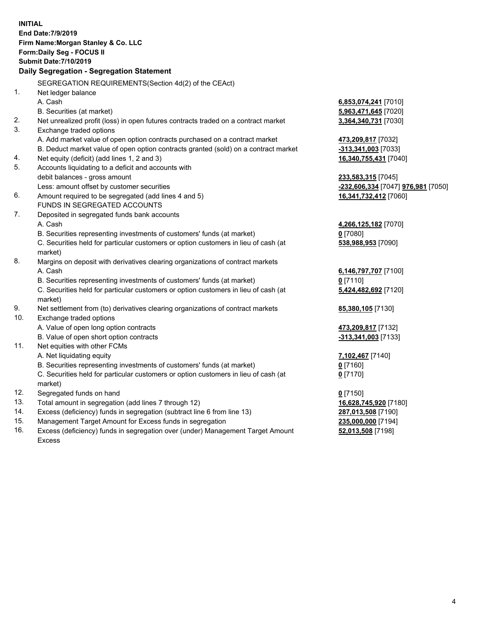**INITIAL End Date:7/9/2019 Firm Name:Morgan Stanley & Co. LLC Form:Daily Seg - FOCUS II Submit Date:7/10/2019 Daily Segregation - Segregation Statement** SEGREGATION REQUIREMENTS(Section 4d(2) of the CEAct) 1. Net ledger balance A. Cash **6,853,074,241** [7010] B. Securities (at market) **5,963,471,645** [7020] 2. Net unrealized profit (loss) in open futures contracts traded on a contract market **3,364,340,731** [7030] 3. Exchange traded options A. Add market value of open option contracts purchased on a contract market **473,209,817** [7032] B. Deduct market value of open option contracts granted (sold) on a contract market **-313,341,003** [7033] 4. Net equity (deficit) (add lines 1, 2 and 3) **16,340,755,431** [7040] 5. Accounts liquidating to a deficit and accounts with debit balances - gross amount **233,583,315** [7045] Less: amount offset by customer securities **-232,606,334** [7047] **976,981** [7050] 6. Amount required to be segregated (add lines 4 and 5) **16,341,732,412** [7060] FUNDS IN SEGREGATED ACCOUNTS 7. Deposited in segregated funds bank accounts A. Cash **4,266,125,182** [7070] B. Securities representing investments of customers' funds (at market) **0** [7080] C. Securities held for particular customers or option customers in lieu of cash (at market) **538,988,953** [7090] 8. Margins on deposit with derivatives clearing organizations of contract markets A. Cash **6,146,797,707** [7100] B. Securities representing investments of customers' funds (at market) **0** [7110] C. Securities held for particular customers or option customers in lieu of cash (at market) **5,424,482,692** [7120] 9. Net settlement from (to) derivatives clearing organizations of contract markets **85,380,105** [7130] 10. Exchange traded options A. Value of open long option contracts **473,209,817** [7132] B. Value of open short option contracts **-313,341,003** [7133] 11. Net equities with other FCMs A. Net liquidating equity **7,102,467** [7140] B. Securities representing investments of customers' funds (at market) **0** [7160] C. Securities held for particular customers or option customers in lieu of cash (at market) **0** [7170] 12. Segregated funds on hand **0** [7150] 13. Total amount in segregation (add lines 7 through 12) **16,628,745,920** [7180] 14. Excess (deficiency) funds in segregation (subtract line 6 from line 13) **287,013,508** [7190] 15. Management Target Amount for Excess funds in segregation **235,000,000** [7194] **52,013,508** [7198]

16. Excess (deficiency) funds in segregation over (under) Management Target Amount Excess